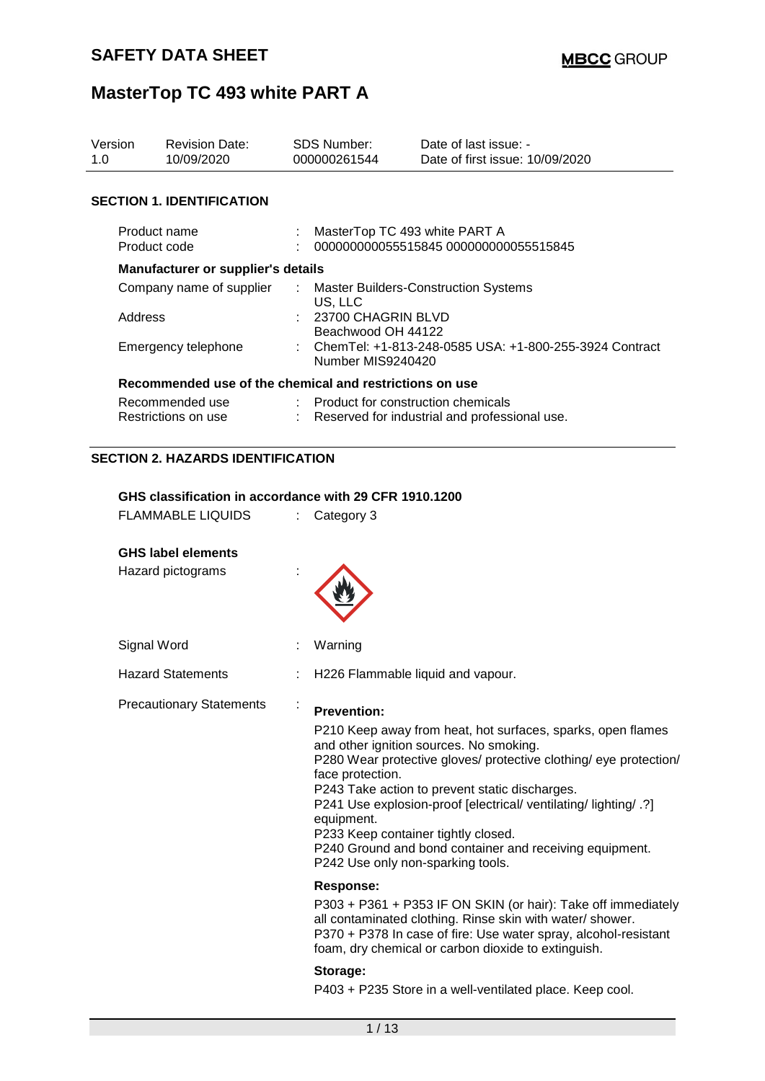| Version<br>1.0 | <b>Revision Date:</b><br>10/09/2020                                                                |   | <b>SDS Number:</b><br>000000261544                                                                | Date of last issue: -<br>Date of first issue: 10/09/2020                                                                                                                                                                                                                                                                                                                                                                                 |  |  |
|----------------|----------------------------------------------------------------------------------------------------|---|---------------------------------------------------------------------------------------------------|------------------------------------------------------------------------------------------------------------------------------------------------------------------------------------------------------------------------------------------------------------------------------------------------------------------------------------------------------------------------------------------------------------------------------------------|--|--|
|                | <b>SECTION 1. IDENTIFICATION</b>                                                                   |   |                                                                                                   |                                                                                                                                                                                                                                                                                                                                                                                                                                          |  |  |
|                | Product name                                                                                       |   | MasterTop TC 493 white PART A                                                                     |                                                                                                                                                                                                                                                                                                                                                                                                                                          |  |  |
|                | Product code                                                                                       |   |                                                                                                   | 000000000055515845 000000000055515845                                                                                                                                                                                                                                                                                                                                                                                                    |  |  |
|                | Manufacturer or supplier's details                                                                 |   |                                                                                                   |                                                                                                                                                                                                                                                                                                                                                                                                                                          |  |  |
|                | Company name of supplier                                                                           |   | US, LLC                                                                                           | <b>Master Builders-Construction Systems</b>                                                                                                                                                                                                                                                                                                                                                                                              |  |  |
|                | Address                                                                                            |   | 23700 CHAGRIN BLVD                                                                                |                                                                                                                                                                                                                                                                                                                                                                                                                                          |  |  |
|                | Emergency telephone                                                                                |   | Beachwood OH 44122<br>ChemTel: +1-813-248-0585 USA: +1-800-255-3924 Contract<br>Number MIS9240420 |                                                                                                                                                                                                                                                                                                                                                                                                                                          |  |  |
|                | Recommended use of the chemical and restrictions on use                                            |   |                                                                                                   |                                                                                                                                                                                                                                                                                                                                                                                                                                          |  |  |
|                | Recommended use                                                                                    |   | : Product for construction chemicals                                                              |                                                                                                                                                                                                                                                                                                                                                                                                                                          |  |  |
|                | Restrictions on use                                                                                |   |                                                                                                   | Reserved for industrial and professional use.                                                                                                                                                                                                                                                                                                                                                                                            |  |  |
|                | <b>SECTION 2. HAZARDS IDENTIFICATION</b><br>GHS classification in accordance with 29 CFR 1910.1200 |   |                                                                                                   |                                                                                                                                                                                                                                                                                                                                                                                                                                          |  |  |
|                | <b>FLAMMABLE LIQUIDS</b>                                                                           | ÷ | Category 3                                                                                        |                                                                                                                                                                                                                                                                                                                                                                                                                                          |  |  |
|                | <b>GHS label elements</b><br>Hazard pictograms                                                     |   |                                                                                                   |                                                                                                                                                                                                                                                                                                                                                                                                                                          |  |  |
|                | Signal Word                                                                                        |   | Warning                                                                                           |                                                                                                                                                                                                                                                                                                                                                                                                                                          |  |  |
|                | <b>Hazard Statements</b>                                                                           |   |                                                                                                   | H226 Flammable liquid and vapour.                                                                                                                                                                                                                                                                                                                                                                                                        |  |  |
|                | <b>Precautionary Statements</b>                                                                    |   | <b>Prevention:</b>                                                                                |                                                                                                                                                                                                                                                                                                                                                                                                                                          |  |  |
|                |                                                                                                    |   | face protection.<br>equipment.                                                                    | P210 Keep away from heat, hot surfaces, sparks, open flames<br>and other ignition sources. No smoking.<br>P280 Wear protective gloves/ protective clothing/ eye protection/<br>P243 Take action to prevent static discharges.<br>P241 Use explosion-proof [electrical/ ventilating/ lighting/ .?]<br>P233 Keep container tightly closed.<br>P240 Ground and bond container and receiving equipment.<br>P242 Use only non-sparking tools. |  |  |
|                |                                                                                                    |   | <b>Response:</b>                                                                                  |                                                                                                                                                                                                                                                                                                                                                                                                                                          |  |  |
|                |                                                                                                    |   |                                                                                                   | P303 + P361 + P353 IF ON SKIN (or hair): Take off immediately<br>all contaminated clothing. Rinse skin with water/ shower.<br>P370 + P378 In case of fire: Use water spray, alcohol-resistant<br>foam, dry chemical or carbon dioxide to extinguish.                                                                                                                                                                                     |  |  |
|                |                                                                                                    |   | Storage:                                                                                          | D100 : D005 Class in a well ventilated place. Keep sool                                                                                                                                                                                                                                                                                                                                                                                  |  |  |
|                |                                                                                                    |   |                                                                                                   |                                                                                                                                                                                                                                                                                                                                                                                                                                          |  |  |

P403 + P235 Store in a well-ventilated place. Keep cool.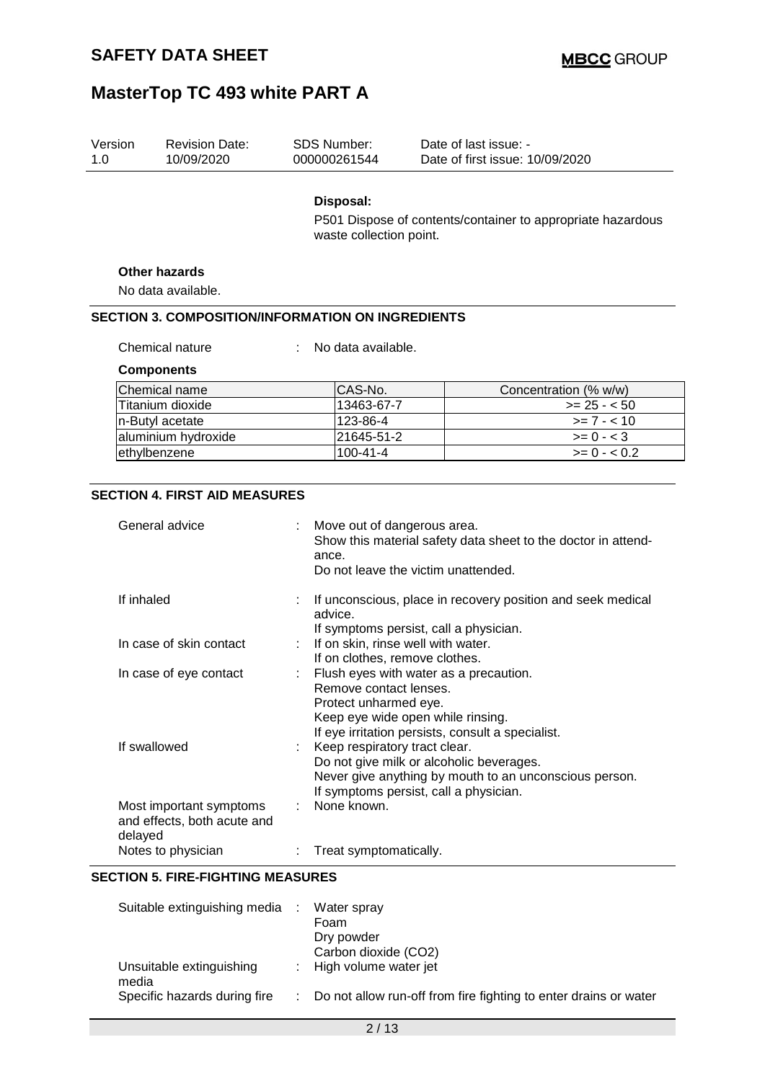| Version<br>1.0 | <b>Revision Date:</b><br>10/09/2020                      |    | <b>SDS Number:</b><br>000000261544              | Date of last issue: -<br>Date of first issue: 10/09/2020                                                                         |
|----------------|----------------------------------------------------------|----|-------------------------------------------------|----------------------------------------------------------------------------------------------------------------------------------|
|                |                                                          |    | Disposal:<br>waste collection point.            | P501 Dispose of contents/container to appropriate hazardous                                                                      |
|                | <b>Other hazards</b><br>No data available.               |    |                                                 |                                                                                                                                  |
|                | <b>SECTION 3. COMPOSITION/INFORMATION ON INGREDIENTS</b> |    |                                                 |                                                                                                                                  |
|                | Chemical nature                                          |    | No data available.                              |                                                                                                                                  |
|                |                                                          |    |                                                 |                                                                                                                                  |
|                | <b>Components</b><br>Chemical name                       |    | CAS-No.                                         |                                                                                                                                  |
|                | Titanium dioxide                                         |    | 13463-67-7                                      | Concentration (% w/w)<br>$>= 25 - 50$                                                                                            |
|                |                                                          |    | 123-86-4                                        | $>= 7 - 10$                                                                                                                      |
|                | n-Butyl acetate<br>aluminium hydroxide                   |    | 21645-51-2                                      | $\geq$ 0 - < 3                                                                                                                   |
|                | ethylbenzene                                             |    | $100 - 41 - 4$                                  | $>= 0 - 0.2$                                                                                                                     |
|                |                                                          |    |                                                 |                                                                                                                                  |
|                | <b>SECTION 4. FIRST AID MEASURES</b><br>General advice   |    | Move out of dangerous area.<br>ance.            | Show this material safety data sheet to the doctor in attend-<br>Do not leave the victim unattended.                             |
| If inhaled     |                                                          |    | advice.                                         | If unconscious, place in recovery position and seek medical<br>If symptoms persist, call a physician.                            |
|                | In case of skin contact                                  |    |                                                 | If on skin, rinse well with water.<br>If on clothes, remove clothes.                                                             |
|                | In case of eye contact                                   | ÷. | Remove contact lenses.<br>Protect unharmed eye. | Flush eyes with water as a precaution.<br>Keep eye wide open while rinsing.<br>If eye irritation persists, consult a specialist. |
|                | If swallowed                                             |    | Keep respiratory tract clear.                   | Do not give milk or alcoholic beverages.<br>Never give anything by mouth to an unconscious person.                               |

| If symptoms persist, call a physician. |  |  |
|----------------------------------------|--|--|

| and effects, both acute and |                          |
|-----------------------------|--------------------------|
| delaved                     |                          |
| Notes to physician          | : Treat symptomatically. |

Most important symptoms : None known.

#### **SECTION 5. FIRE-FIGHTING MEASURES**

| Suitable extinguishing media      | Water spray                                                        |
|-----------------------------------|--------------------------------------------------------------------|
|                                   | Foam<br>Dry powder                                                 |
|                                   | Carbon dioxide (CO2)                                               |
| Unsuitable extinguishing<br>media | : High volume water jet                                            |
| Specific hazards during fire      | : Do not allow run-off from fire fighting to enter drains or water |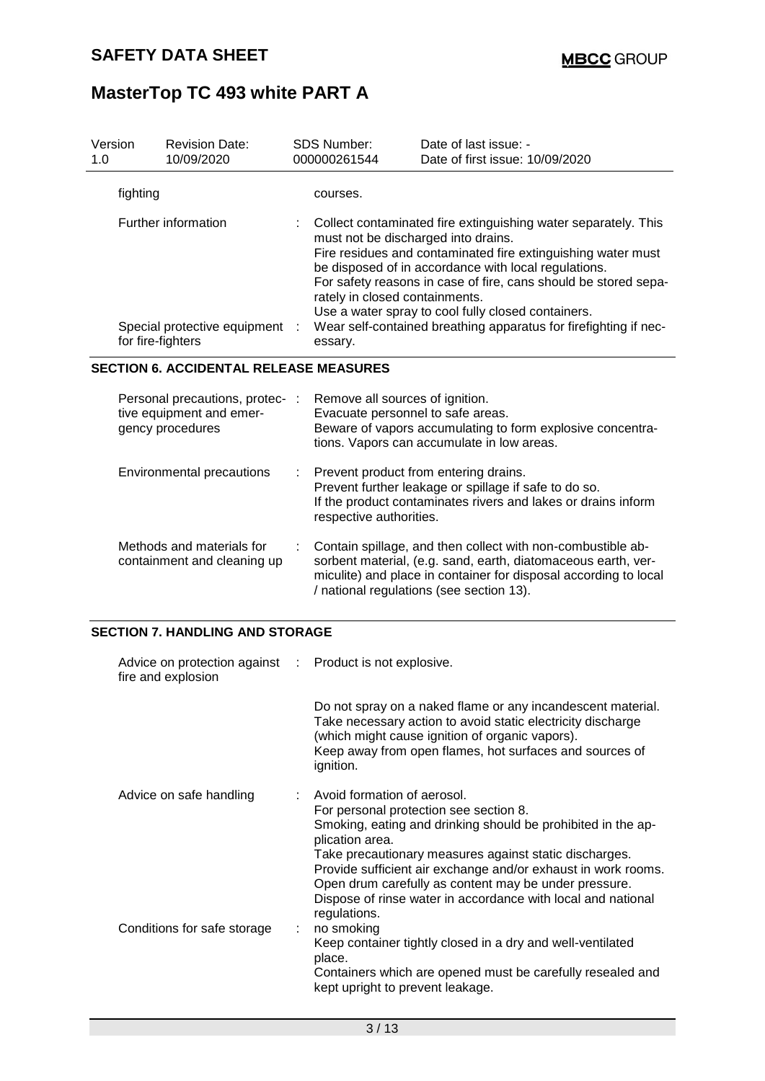| Version<br>1.0 |          | <b>Revision Date:</b><br>10/09/2020                                             |   | <b>SDS Number:</b><br>000000261544                                                                                                                                                                                                                                                                                                                                                                                                                                      | Date of last issue: -<br>Date of first issue: 10/09/2020                                                                                                                                                                                                                                                                                                   |  |
|----------------|----------|---------------------------------------------------------------------------------|---|-------------------------------------------------------------------------------------------------------------------------------------------------------------------------------------------------------------------------------------------------------------------------------------------------------------------------------------------------------------------------------------------------------------------------------------------------------------------------|------------------------------------------------------------------------------------------------------------------------------------------------------------------------------------------------------------------------------------------------------------------------------------------------------------------------------------------------------------|--|
|                | fighting |                                                                                 |   | courses.                                                                                                                                                                                                                                                                                                                                                                                                                                                                |                                                                                                                                                                                                                                                                                                                                                            |  |
|                |          | Further information<br>Special protective equipment :<br>for fire-fighters      |   | Collect contaminated fire extinguishing water separately. This<br>must not be discharged into drains.<br>Fire residues and contaminated fire extinguishing water must<br>be disposed of in accordance with local regulations.<br>For safety reasons in case of fire, cans should be stored sepa-<br>rately in closed containments.<br>Use a water spray to cool fully closed containers.<br>Wear self-contained breathing apparatus for firefighting if nec-<br>essary. |                                                                                                                                                                                                                                                                                                                                                            |  |
|                |          | <b>SECTION 6. ACCIDENTAL RELEASE MEASURES</b>                                   |   |                                                                                                                                                                                                                                                                                                                                                                                                                                                                         |                                                                                                                                                                                                                                                                                                                                                            |  |
|                |          | Personal precautions, protec- :<br>tive equipment and emer-<br>gency procedures |   | Remove all sources of ignition.<br>Evacuate personnel to safe areas.                                                                                                                                                                                                                                                                                                                                                                                                    | Beware of vapors accumulating to form explosive concentra-<br>tions. Vapors can accumulate in low areas.                                                                                                                                                                                                                                                   |  |
|                |          | Environmental precautions                                                       |   | respective authorities.                                                                                                                                                                                                                                                                                                                                                                                                                                                 | Prevent product from entering drains.<br>Prevent further leakage or spillage if safe to do so.<br>If the product contaminates rivers and lakes or drains inform                                                                                                                                                                                            |  |
|                |          | Methods and materials for<br>containment and cleaning up                        | ÷ |                                                                                                                                                                                                                                                                                                                                                                                                                                                                         | Contain spillage, and then collect with non-combustible ab-<br>sorbent material, (e.g. sand, earth, diatomaceous earth, ver-<br>miculite) and place in container for disposal according to local<br>/ national regulations (see section 13).                                                                                                               |  |
|                |          | <b>SECTION 7. HANDLING AND STORAGE</b>                                          |   |                                                                                                                                                                                                                                                                                                                                                                                                                                                                         |                                                                                                                                                                                                                                                                                                                                                            |  |
|                |          | Advice on protection against<br>fire and explosion                              |   | Product is not explosive.                                                                                                                                                                                                                                                                                                                                                                                                                                               |                                                                                                                                                                                                                                                                                                                                                            |  |
|                |          |                                                                                 |   | ignition.                                                                                                                                                                                                                                                                                                                                                                                                                                                               | Do not spray on a naked flame or any incandescent material.<br>Take necessary action to avoid static electricity discharge<br>(which might cause ignition of organic vapors).<br>Keep away from open flames, hot surfaces and sources of                                                                                                                   |  |
|                |          | Advice on safe handling                                                         |   | Avoid formation of aerosol.<br>plication area.<br>regulations.                                                                                                                                                                                                                                                                                                                                                                                                          | For personal protection see section 8.<br>Smoking, eating and drinking should be prohibited in the ap-<br>Take precautionary measures against static discharges.<br>Provide sufficient air exchange and/or exhaust in work rooms.<br>Open drum carefully as content may be under pressure.<br>Dispose of rinse water in accordance with local and national |  |
|                |          | Conditions for safe storage                                                     |   | no smoking<br>place.                                                                                                                                                                                                                                                                                                                                                                                                                                                    | Keep container tightly closed in a dry and well-ventilated                                                                                                                                                                                                                                                                                                 |  |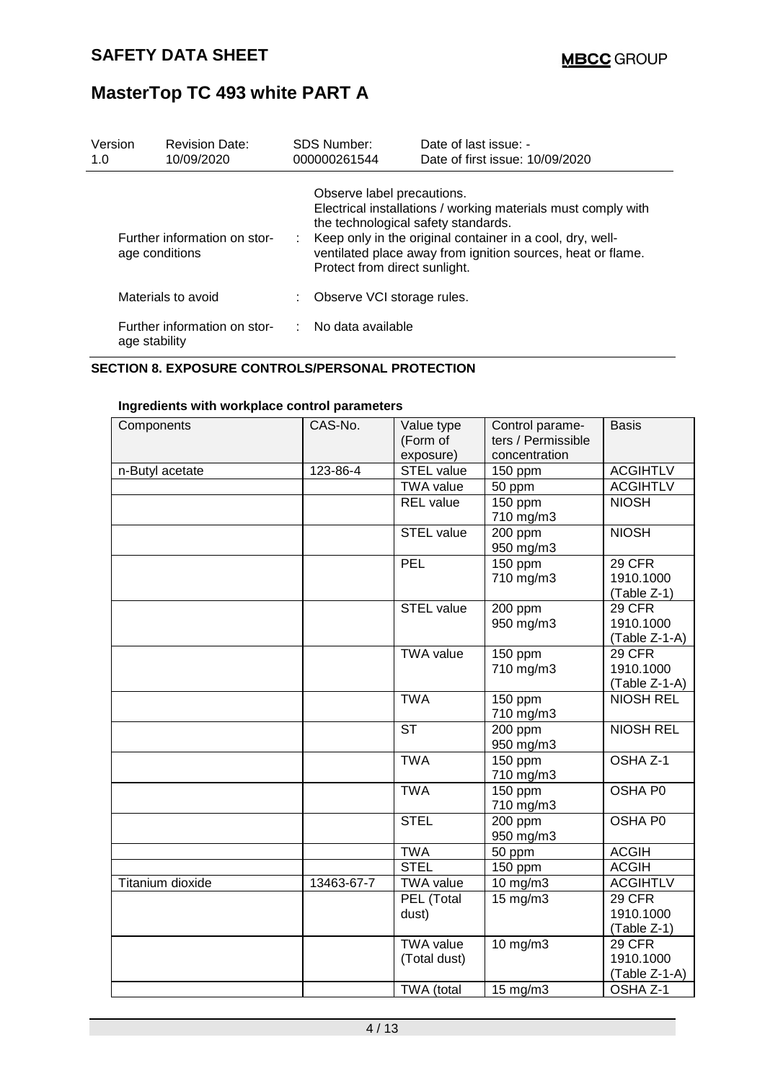| Version<br>1.0 |                | <b>Revision Date:</b><br>10/09/2020 | <b>SDS Number:</b><br>000000261544                                                                 | Date of last issue: -<br>Date of first issue: 10/09/2020                                                                                                                                  |
|----------------|----------------|-------------------------------------|----------------------------------------------------------------------------------------------------|-------------------------------------------------------------------------------------------------------------------------------------------------------------------------------------------|
|                | age conditions | Further information on stor-        | Observe label precautions.<br>the technological safety standards.<br>Protect from direct sunlight. | Electrical installations / working materials must comply with<br>Keep only in the original container in a cool, dry, well-<br>ventilated place away from ignition sources, heat or flame. |
|                |                | Materials to avoid                  | Observe VCI storage rules.                                                                         |                                                                                                                                                                                           |
|                | age stability  | Further information on stor-        | $\therefore$ No data available                                                                     |                                                                                                                                                                                           |

#### **SECTION 8. EXPOSURE CONTROLS/PERSONAL PROTECTION**

| Components       | CAS-No.    | Value type<br>(Form of<br>exposure) | Control parame-<br>ters / Permissible<br>concentration | <b>Basis</b>                              |
|------------------|------------|-------------------------------------|--------------------------------------------------------|-------------------------------------------|
| n-Butyl acetate  | 123-86-4   | <b>STEL value</b>                   | 150 ppm                                                | <b>ACGIHTLV</b>                           |
|                  |            | <b>TWA value</b>                    | 50 ppm                                                 | <b>ACGIHTLV</b>                           |
|                  |            | <b>REL</b> value                    | 150 ppm                                                | <b>NIOSH</b>                              |
|                  |            |                                     | 710 mg/m3                                              |                                           |
|                  |            | <b>STEL value</b>                   | 200 ppm<br>950 mg/m3                                   | <b>NIOSH</b>                              |
|                  |            | PEL                                 | 150 ppm<br>710 mg/m3                                   | <b>29 CFR</b><br>1910.1000<br>(Table Z-1) |
|                  |            | <b>STEL value</b>                   | 200 ppm<br>950 mg/m3                                   | 29 CFR<br>1910.1000<br>(Table Z-1-A)      |
|                  |            | <b>TWA value</b>                    | 150 ppm<br>710 mg/m3                                   | 29 CFR<br>1910.1000<br>(Table Z-1-A)      |
|                  |            | <b>TWA</b>                          | 150 ppm<br>710 mg/m3                                   | <b>NIOSH REL</b>                          |
|                  |            | $\overline{\text{ST}}$              | 200 ppm<br>950 mg/m3                                   | <b>NIOSH REL</b>                          |
|                  |            | <b>TWA</b>                          | 150 ppm<br>710 mg/m3                                   | OSHA <sub>Z-1</sub>                       |
|                  |            | <b>TWA</b>                          | 150 ppm<br>710 mg/m3                                   | OSHA P0                                   |
|                  |            | <b>STEL</b>                         | 200 ppm<br>950 mg/m3                                   | OSHA P0                                   |
|                  |            | <b>TWA</b>                          | 50 ppm                                                 | <b>ACGIH</b>                              |
|                  |            | <b>STEL</b>                         | 150 ppm                                                | <b>ACGIH</b>                              |
| Titanium dioxide | 13463-67-7 | <b>TWA value</b>                    | 10 mg/m3                                               | <b>ACGIHTLV</b>                           |
|                  |            | PEL (Total                          | $15$ mg/m $3$                                          | <b>29 CFR</b>                             |
|                  |            | dust)                               |                                                        | 1910.1000                                 |
|                  |            |                                     |                                                        | (Table Z-1)                               |
|                  |            | <b>TWA value</b>                    | 10 mg/m3                                               | <b>29 CFR</b>                             |
|                  |            | (Total dust)                        |                                                        | 1910.1000                                 |
|                  |            |                                     |                                                        | $(Table Z-1-A)$                           |
|                  |            | TWA (total                          | $15 \text{ mg/m}$                                      | OSHA Z-1                                  |

#### **Ingredients with workplace control parameters**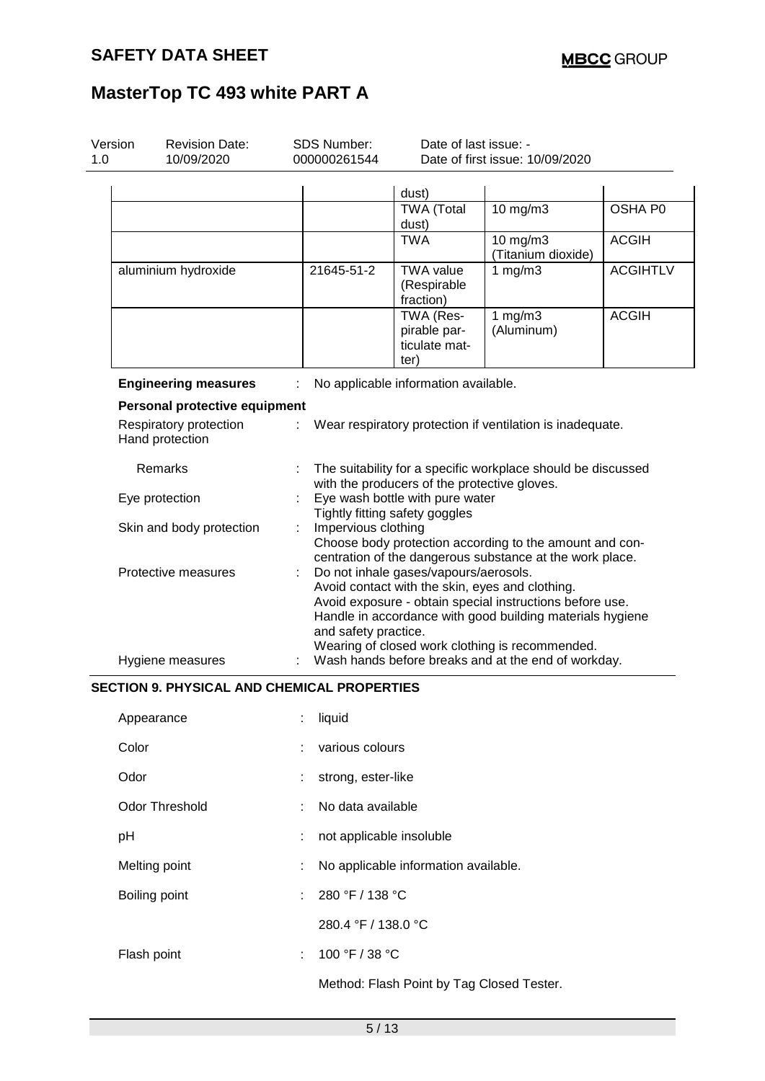| Version<br>1.0 | <b>Revision Date:</b><br>10/09/2020                | <b>SDS Number:</b><br>000000261544 |                                                                                                                                                                                                                                           | Date of last issue: -<br>Date of first issue: 10/09/2020                                               |                                                           |                 |  |  |
|----------------|----------------------------------------------------|------------------------------------|-------------------------------------------------------------------------------------------------------------------------------------------------------------------------------------------------------------------------------------------|--------------------------------------------------------------------------------------------------------|-----------------------------------------------------------|-----------------|--|--|
|                |                                                    |                                    |                                                                                                                                                                                                                                           |                                                                                                        |                                                           |                 |  |  |
|                |                                                    |                                    |                                                                                                                                                                                                                                           | dust)<br><b>TWA (Total</b><br>dust)                                                                    | 10 mg/m3                                                  | OSHA P0         |  |  |
|                |                                                    |                                    |                                                                                                                                                                                                                                           | <b>TWA</b>                                                                                             | 10 mg/m3<br>(Titanium dioxide)                            | <b>ACGIH</b>    |  |  |
|                | aluminium hydroxide                                |                                    | 21645-51-2                                                                                                                                                                                                                                | <b>TWA value</b><br>(Respirable<br>fraction)                                                           | 1 $mg/m3$                                                 | <b>ACGIHTLV</b> |  |  |
|                |                                                    |                                    |                                                                                                                                                                                                                                           | TWA (Res-<br>pirable par-<br>ticulate mat-<br>ter)                                                     | 1 $mg/m3$<br>(Aluminum)                                   | <b>ACGIH</b>    |  |  |
|                | <b>Engineering measures</b>                        |                                    |                                                                                                                                                                                                                                           | No applicable information available.                                                                   |                                                           |                 |  |  |
|                | Personal protective equipment                      |                                    |                                                                                                                                                                                                                                           |                                                                                                        |                                                           |                 |  |  |
|                | Respiratory protection<br>Hand protection          | ÷.                                 |                                                                                                                                                                                                                                           |                                                                                                        | Wear respiratory protection if ventilation is inadequate. |                 |  |  |
|                | Remarks                                            |                                    | The suitability for a specific workplace should be discussed                                                                                                                                                                              |                                                                                                        |                                                           |                 |  |  |
|                | Eye protection                                     |                                    | with the producers of the protective gloves.<br>Eye wash bottle with pure water<br>Tightly fitting safety goggles                                                                                                                         |                                                                                                        |                                                           |                 |  |  |
|                | Skin and body protection                           |                                    | Impervious clothing<br>Choose body protection according to the amount and con-<br>centration of the dangerous substance at the work place.                                                                                                |                                                                                                        |                                                           |                 |  |  |
|                | Protective measures                                |                                    | Do not inhale gases/vapours/aerosols.<br>Avoid contact with the skin, eyes and clothing.<br>Avoid exposure - obtain special instructions before use.<br>Handle in accordance with good building materials hygiene<br>and safety practice. |                                                                                                        |                                                           |                 |  |  |
|                | Hygiene measures                                   |                                    |                                                                                                                                                                                                                                           | Wearing of closed work clothing is recommended.<br>Wash hands before breaks and at the end of workday. |                                                           |                 |  |  |
|                | <b>SECTION 9. PHYSICAL AND CHEMICAL PROPERTIES</b> |                                    |                                                                                                                                                                                                                                           |                                                                                                        |                                                           |                 |  |  |
|                | Appearance                                         |                                    | liquid                                                                                                                                                                                                                                    |                                                                                                        |                                                           |                 |  |  |
| Color          |                                                    |                                    | various colours                                                                                                                                                                                                                           |                                                                                                        |                                                           |                 |  |  |
| Odor           |                                                    |                                    | strong, ester-like                                                                                                                                                                                                                        |                                                                                                        |                                                           |                 |  |  |
|                | <b>Odor Threshold</b>                              |                                    | No data available                                                                                                                                                                                                                         |                                                                                                        |                                                           |                 |  |  |
| pH             |                                                    |                                    | not applicable insoluble                                                                                                                                                                                                                  |                                                                                                        |                                                           |                 |  |  |
|                | Melting point                                      |                                    |                                                                                                                                                                                                                                           | No applicable information available.                                                                   |                                                           |                 |  |  |
|                | Boiling point                                      |                                    | 280 °F / 138 °C                                                                                                                                                                                                                           |                                                                                                        |                                                           |                 |  |  |

Flash point : 100 °F / 38 °C

Method: Flash Point by Tag Closed Tester.

280.4 °F / 138.0 °C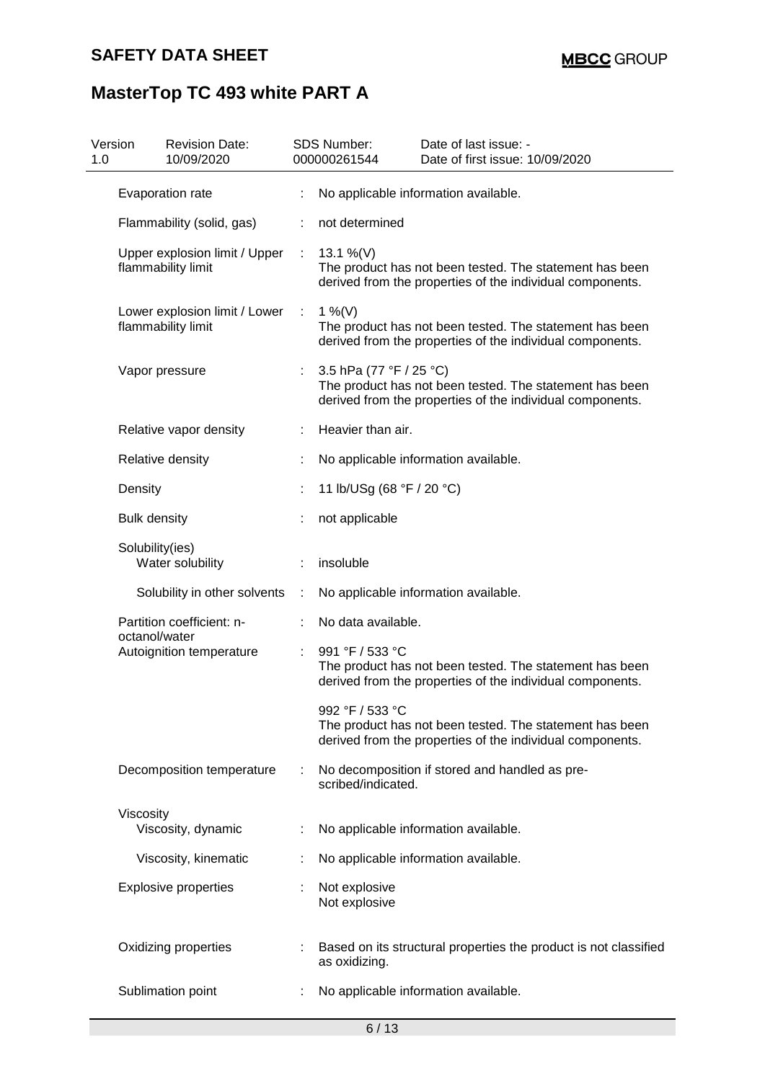| Version<br>1.0 | <b>Revision Date:</b><br>10/09/2020                 |   | SDS Number:<br>000000261544    | Date of last issue: -<br>Date of first issue: 10/09/2020                                                             |
|----------------|-----------------------------------------------------|---|--------------------------------|----------------------------------------------------------------------------------------------------------------------|
|                | Evaporation rate                                    | t |                                | No applicable information available.                                                                                 |
|                | Flammability (solid, gas)                           |   | not determined                 |                                                                                                                      |
|                | Upper explosion limit / Upper<br>flammability limit | ÷ | 13.1 %(V)                      | The product has not been tested. The statement has been<br>derived from the properties of the individual components. |
|                | Lower explosion limit / Lower<br>flammability limit | ÷ | 1 %(V)                         | The product has not been tested. The statement has been<br>derived from the properties of the individual components. |
|                | Vapor pressure                                      | ÷ | 3.5 hPa (77 °F / 25 °C)        | The product has not been tested. The statement has been<br>derived from the properties of the individual components. |
|                | Relative vapor density                              |   | Heavier than air.              |                                                                                                                      |
|                | Relative density                                    |   |                                | No applicable information available.                                                                                 |
|                | Density                                             |   | 11 lb/USg (68 °F / 20 °C)      |                                                                                                                      |
|                | <b>Bulk density</b>                                 |   | not applicable                 |                                                                                                                      |
|                | Solubility(ies)<br>Water solubility                 |   | insoluble                      |                                                                                                                      |
|                | Solubility in other solvents                        | ÷ |                                | No applicable information available.                                                                                 |
|                | Partition coefficient: n-<br>octanol/water          |   | No data available.             |                                                                                                                      |
|                | Autoignition temperature                            |   | 991 °F / 533 °C                | The product has not been tested. The statement has been<br>derived from the properties of the individual components. |
|                |                                                     |   | 992 °F / 533 °C                | The product has not been tested. The statement has been<br>derived from the properties of the individual components. |
|                | Decomposition temperature                           |   | scribed/indicated.             | No decomposition if stored and handled as pre-                                                                       |
|                | Viscosity<br>Viscosity, dynamic                     |   |                                | No applicable information available.                                                                                 |
|                | Viscosity, kinematic                                |   |                                | No applicable information available.                                                                                 |
|                | <b>Explosive properties</b>                         |   | Not explosive<br>Not explosive |                                                                                                                      |
|                | Oxidizing properties                                |   | as oxidizing.                  | Based on its structural properties the product is not classified                                                     |
|                | Sublimation point                                   |   |                                | No applicable information available.                                                                                 |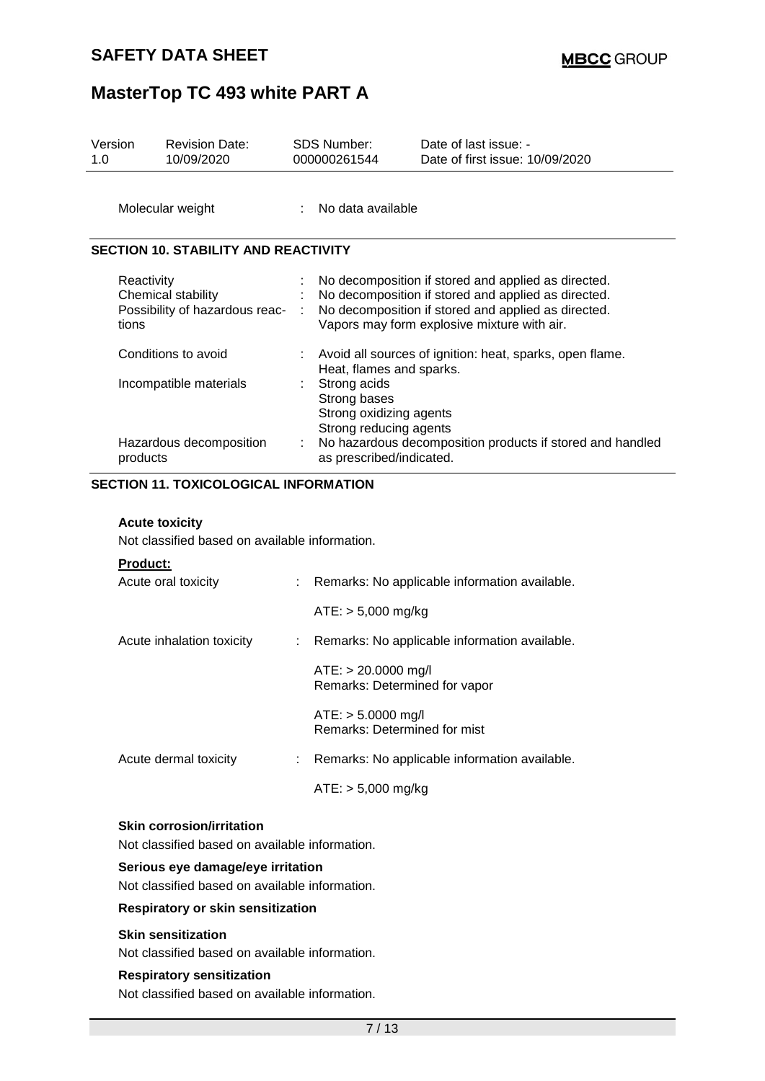| Version<br>1.0 | <b>Revision Date:</b><br>10/09/2020                                |   | SDS Number:<br>000000261544                                                       | Date of last issue: -<br>Date of first issue: 10/09/2020                                                                                                                                                         |
|----------------|--------------------------------------------------------------------|---|-----------------------------------------------------------------------------------|------------------------------------------------------------------------------------------------------------------------------------------------------------------------------------------------------------------|
|                | Molecular weight                                                   |   | No data available                                                                 |                                                                                                                                                                                                                  |
|                | <b>SECTION 10. STABILITY AND REACTIVITY</b>                        |   |                                                                                   |                                                                                                                                                                                                                  |
| tions          | Reactivity<br>Chemical stability<br>Possibility of hazardous reac- |   |                                                                                   | No decomposition if stored and applied as directed.<br>No decomposition if stored and applied as directed.<br>No decomposition if stored and applied as directed.<br>Vapors may form explosive mixture with air. |
|                | Conditions to avoid                                                |   | Heat, flames and sparks.                                                          | Avoid all sources of ignition: heat, sparks, open flame.                                                                                                                                                         |
|                | Incompatible materials                                             |   | Strong acids<br>Strong bases<br>Strong oxidizing agents<br>Strong reducing agents |                                                                                                                                                                                                                  |
|                | Hazardous decomposition<br>products                                | ÷ | as prescribed/indicated.                                                          | No hazardous decomposition products if stored and handled                                                                                                                                                        |
|                | <b>SECTION 11. TOXICOLOGICAL INFORMATION</b>                       |   |                                                                                   |                                                                                                                                                                                                                  |

#### **Acute toxicity**

Not classified based on available information.

#### **Product:**

| Acute oral toxicity       | : Remarks: No applicable information available.        |
|---------------------------|--------------------------------------------------------|
|                           | $ATE: > 5,000 \text{ mg/kg}$                           |
| Acute inhalation toxicity | : Remarks: No applicable information available.        |
|                           | $ATE: > 20.0000$ mg/l<br>Remarks: Determined for vapor |
|                           | $ATE: > 5.0000$ mg/l<br>Remarks: Determined for mist   |
| Acute dermal toxicity     | Remarks: No applicable information available.          |
|                           | $ATE: > 5,000 \text{ mg/kg}$                           |

#### **Skin corrosion/irritation**

Not classified based on available information.

#### **Serious eye damage/eye irritation**

Not classified based on available information.

#### **Respiratory or skin sensitization**

#### **Skin sensitization**

Not classified based on available information.

#### **Respiratory sensitization**

Not classified based on available information.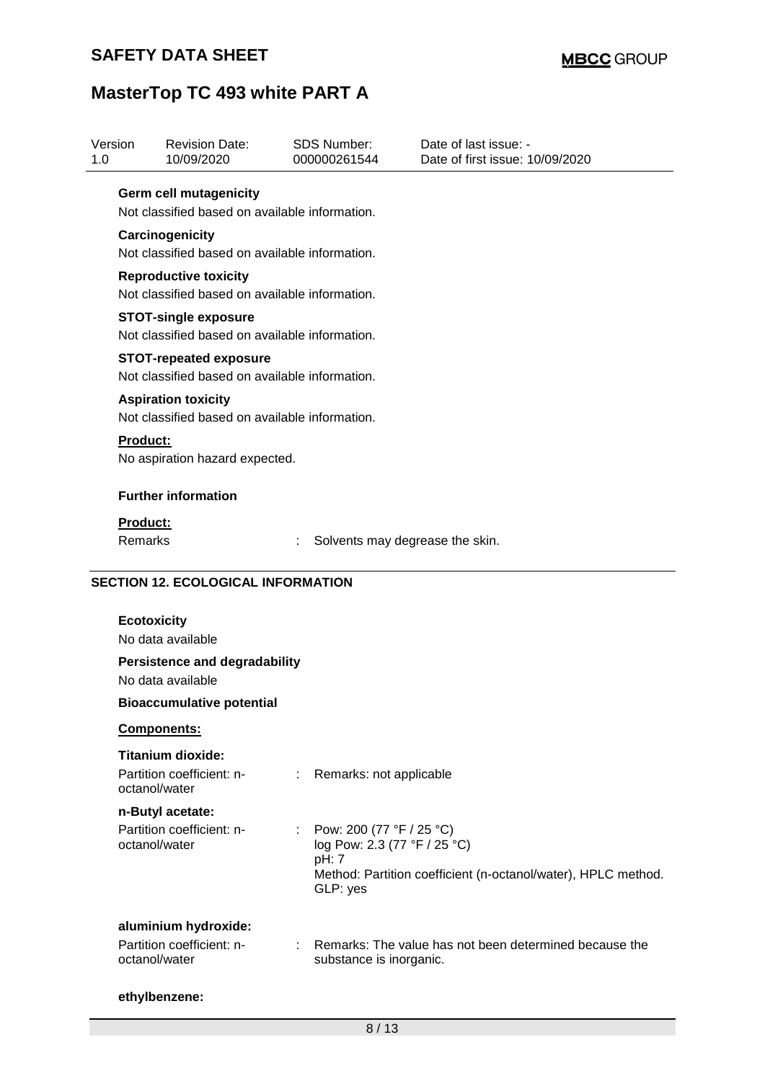| Version<br>1.0  | <b>Revision Date:</b><br>10/09/2020                                             | SDS Number:<br>000000261544                                             | Date of last issue: -<br>Date of first issue: 10/09/2020      |
|-----------------|---------------------------------------------------------------------------------|-------------------------------------------------------------------------|---------------------------------------------------------------|
|                 | Germ cell mutagenicity                                                          |                                                                         |                                                               |
|                 | Not classified based on available information.                                  |                                                                         |                                                               |
|                 | Carcinogenicity                                                                 |                                                                         |                                                               |
|                 | Not classified based on available information.                                  |                                                                         |                                                               |
|                 | <b>Reproductive toxicity</b><br>Not classified based on available information.  |                                                                         |                                                               |
|                 | <b>STOT-single exposure</b><br>Not classified based on available information.   |                                                                         |                                                               |
|                 | <b>STOT-repeated exposure</b><br>Not classified based on available information. |                                                                         |                                                               |
|                 | <b>Aspiration toxicity</b><br>Not classified based on available information.    |                                                                         |                                                               |
| <b>Product:</b> |                                                                                 |                                                                         |                                                               |
|                 | No aspiration hazard expected.                                                  |                                                                         |                                                               |
|                 | <b>Further information</b>                                                      |                                                                         |                                                               |
| <b>Product:</b> |                                                                                 |                                                                         |                                                               |
| Remarks         |                                                                                 |                                                                         | Solvents may degrease the skin.                               |
|                 | <b>Ecotoxicity</b><br>No data available<br><b>Persistence and degradability</b> |                                                                         |                                                               |
|                 | No data available                                                               |                                                                         |                                                               |
|                 | <b>Bioaccumulative potential</b>                                                |                                                                         |                                                               |
|                 | Components:                                                                     |                                                                         |                                                               |
|                 | <b>Titanium dioxide:</b>                                                        |                                                                         |                                                               |
|                 | Partition coefficient: n-<br>octanol/water                                      | $\mathbb{Z}^{\times}$<br>Remarks: not applicable                        |                                                               |
|                 | n-Butyl acetate:                                                                |                                                                         |                                                               |
|                 | Partition coefficient: n-<br>octanol/water                                      | Pow: 200 (77 °F / 25 °C)<br>t.<br>log Pow: 2.3 (77 °F / 25 °C)<br>pH: 7 |                                                               |
|                 |                                                                                 | GLP: yes                                                                | Method: Partition coefficient (n-octanol/water), HPLC method. |
|                 |                                                                                 |                                                                         |                                                               |
|                 | aluminium hydroxide:                                                            |                                                                         |                                                               |
|                 | Partition coefficient: n-<br>octanol/water                                      | substance is inorganic.                                                 | Remarks: The value has not been determined because the        |
|                 | ethylbenzene:                                                                   |                                                                         |                                                               |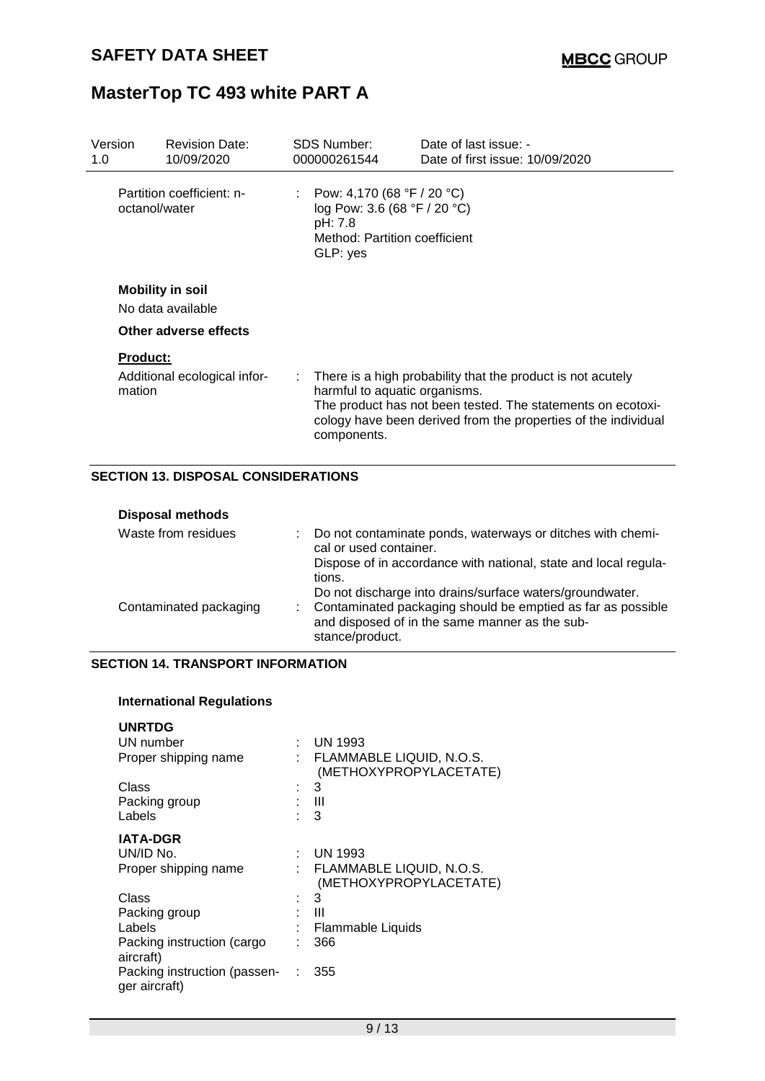| Version<br>1.0 | <b>Revision Date:</b><br>10/09/2020                                   |  | <b>SDS Number:</b><br>000000261544                                                                                 | Date of last issue: -<br>Date of first issue: 10/09/2020                                                                                                                                     |
|----------------|-----------------------------------------------------------------------|--|--------------------------------------------------------------------------------------------------------------------|----------------------------------------------------------------------------------------------------------------------------------------------------------------------------------------------|
|                | Partition coefficient: n-<br>octanol/water                            |  | Pow: 4,170 (68 °F / 20 °C)<br>log Pow: 3.6 (68 °F / 20 °C)<br>pH: 7.8<br>Method: Partition coefficient<br>GLP: yes |                                                                                                                                                                                              |
|                | <b>Mobility in soil</b><br>No data available<br>Other adverse effects |  |                                                                                                                    |                                                                                                                                                                                              |
| mation         | <b>Product:</b><br>Additional ecological infor-                       |  | harmful to aquatic organisms.<br>components.                                                                       | There is a high probability that the product is not acutely<br>The product has not been tested. The statements on ecotoxi-<br>cology have been derived from the properties of the individual |

#### **SECTION 13. DISPOSAL CONSIDERATIONS**

| <b>Disposal methods</b> |                                                                                                                           |
|-------------------------|---------------------------------------------------------------------------------------------------------------------------|
| Waste from residues     | : Do not contaminate ponds, waterways or ditches with chemi-<br>cal or used container.                                    |
|                         | Dispose of in accordance with national, state and local regula-<br>tions.                                                 |
| Contaminated packaging  | Do not discharge into drains/surface waters/groundwater.<br>: Contaminated packaging should be emptied as far as possible |
|                         | and disposed of in the same manner as the sub-<br>stance/product.                                                         |

#### **SECTION 14. TRANSPORT INFORMATION**

#### **International Regulations**

| <b>UNRTDG</b>                                 |                                                    |
|-----------------------------------------------|----------------------------------------------------|
| UN number                                     | UN 1993                                            |
| Proper shipping name                          | FLAMMABLE LIQUID, N.O.S.<br>(METHOXYPROPYLACETATE) |
| Class                                         | 3                                                  |
| Packing group                                 | Ш                                                  |
| Labels                                        | 3                                                  |
| <b>IATA-DGR</b>                               |                                                    |
| UN/ID No.                                     | UN 1993                                            |
| Proper shipping name                          | FLAMMABLE LIQUID, N.O.S.<br>(METHOXYPROPYLACETATE) |
| Class                                         | 3                                                  |
| Packing group                                 | Ш                                                  |
| Labels                                        | Flammable Liquids                                  |
| Packing instruction (cargo<br>aircraft)       | 366                                                |
| Packing instruction (passen-<br>ger aircraft) | 355                                                |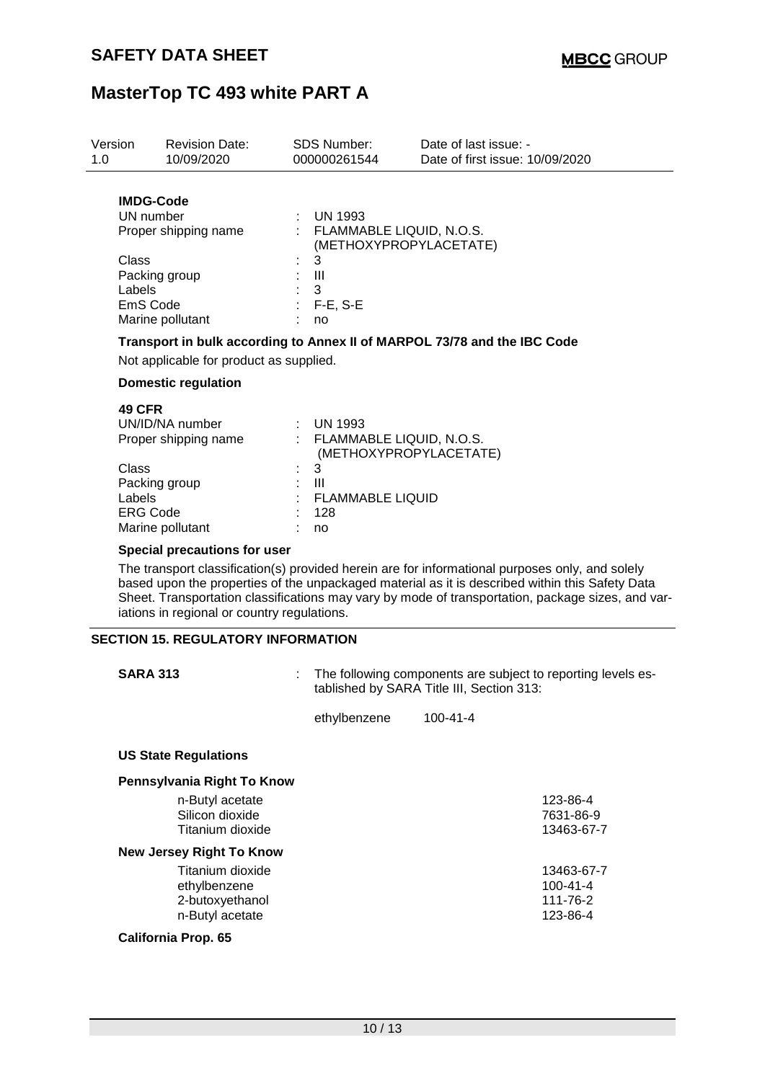| Version<br>1.0                                                                                                            | <b>Revision Date:</b><br>10/09/2020                                                                                                     | SDS Number:<br>000000261544                                                                 | Date of last issue: -<br>Date of first issue: 10/09/2020                                                                                                                                                                                                                                                |
|---------------------------------------------------------------------------------------------------------------------------|-----------------------------------------------------------------------------------------------------------------------------------------|---------------------------------------------------------------------------------------------|---------------------------------------------------------------------------------------------------------------------------------------------------------------------------------------------------------------------------------------------------------------------------------------------------------|
| <b>IMDG-Code</b><br>UN number<br>Proper shipping name<br>Class<br>Packing group<br>Labels<br>EmS Code<br>Marine pollutant |                                                                                                                                         | : UN 1993<br>: FLAMMABLE LIQUID, N.O.S.<br>3<br>$\mathbf{III}$<br>3<br>$:$ F-E, S-E<br>no   | (METHOXYPROPYLACETATE)                                                                                                                                                                                                                                                                                  |
|                                                                                                                           | Not applicable for product as supplied.                                                                                                 |                                                                                             | Transport in bulk according to Annex II of MARPOL 73/78 and the IBC Code                                                                                                                                                                                                                                |
|                                                                                                                           | <b>Domestic regulation</b>                                                                                                              |                                                                                             |                                                                                                                                                                                                                                                                                                         |
| 49 CFR<br>Class<br>Labels                                                                                                 | UN/ID/NA number<br>Proper shipping name<br>Packing group<br><b>ERG Code</b><br>Marine pollutant                                         | $:$ UN 1993<br>: FLAMMABLE LIQUID, N.O.S.<br>3<br>Ш<br><b>FLAMMABLE LIQUID</b><br>128<br>no | (METHOXYPROPYLACETATE)                                                                                                                                                                                                                                                                                  |
|                                                                                                                           | <b>Special precautions for user</b>                                                                                                     |                                                                                             |                                                                                                                                                                                                                                                                                                         |
|                                                                                                                           | iations in regional or country regulations.                                                                                             |                                                                                             | The transport classification(s) provided herein are for informational purposes only, and solely<br>based upon the properties of the unpackaged material as it is described within this Safety Data<br>Sheet. Transportation classifications may vary by mode of transportation, package sizes, and var- |
|                                                                                                                           | <b>SECTION 15. REGULATORY INFORMATION</b>                                                                                               |                                                                                             |                                                                                                                                                                                                                                                                                                         |
|                                                                                                                           | <b>SARA 313</b>                                                                                                                         |                                                                                             | The following components are subject to reporting levels es-<br>tablished by SARA Title III, Section 313:                                                                                                                                                                                               |
|                                                                                                                           |                                                                                                                                         | ethylbenzene                                                                                | 100-41-4                                                                                                                                                                                                                                                                                                |
|                                                                                                                           | <b>US State Regulations</b>                                                                                                             |                                                                                             |                                                                                                                                                                                                                                                                                                         |
|                                                                                                                           | Pennsylvania Right To Know                                                                                                              |                                                                                             |                                                                                                                                                                                                                                                                                                         |
|                                                                                                                           | n-Butyl acetate<br>Silicon dioxide<br>Titanium dioxide                                                                                  |                                                                                             | 123-86-4<br>7631-86-9<br>13463-67-7                                                                                                                                                                                                                                                                     |
|                                                                                                                           | <b>New Jersey Right To Know</b><br>Titanium dioxide<br>ethylbenzene<br>2-butoxyethanol<br>n-Butyl acetate<br><b>California Prop. 65</b> |                                                                                             | 13463-67-7<br>$100 - 41 - 4$<br>111-76-2<br>123-86-4                                                                                                                                                                                                                                                    |
|                                                                                                                           |                                                                                                                                         |                                                                                             |                                                                                                                                                                                                                                                                                                         |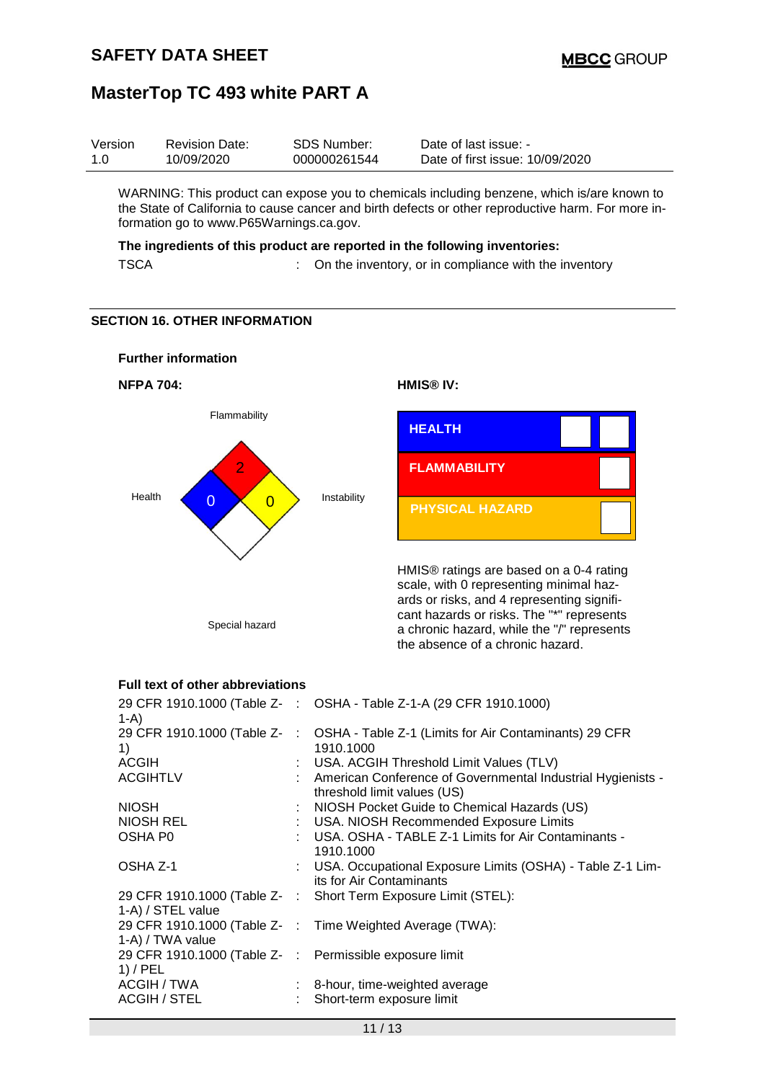| Version | <b>Revision Date:</b> | SDS Number:  | Date of last issue: -           |
|---------|-----------------------|--------------|---------------------------------|
| 1.0     | 10/09/2020            | 000000261544 | Date of first issue: 10/09/2020 |

WARNING: This product can expose you to chemicals including benzene, which is/are known to the State of California to cause cancer and birth defects or other reproductive harm. For more information go to www.P65Warnings.ca.gov.

#### **The ingredients of this product are reported in the following inventories:**

TSCA : On the inventory, or in compliance with the inventory

#### **SECTION 16. OTHER INFORMATION**



#### **Full text of other abbreviations**

| 1-A)                                                    | 29 CFR 1910.1000 (Table Z- : OSHA - Table Z-1-A (29 CFR 1910.1000)                                                       |
|---------------------------------------------------------|--------------------------------------------------------------------------------------------------------------------------|
|                                                         | 29 CFR 1910.1000 (Table Z-: OSHA - Table Z-1 (Limits for Air Contaminants) 29 CFR                                        |
| 1)                                                      | 1910.1000                                                                                                                |
| <b>ACGIH</b>                                            | : USA. ACGIH Threshold Limit Values (TLV)                                                                                |
| <b>ACGIHTLV</b>                                         | : American Conference of Governmental Industrial Hygienists -                                                            |
| <b>NIOSH</b>                                            |                                                                                                                          |
| <b>NIOSH REL</b>                                        | threshold limit values (US)<br>: NIOSH Pocket Guide to Chemical Hazards (US)<br>: USA. NIOSH Recommended Exposure Limits |
| OSHA P0                                                 | : USA. OSHA - TABLE Z-1 Limits for Air Contaminants -                                                                    |
|                                                         | 1910.1000                                                                                                                |
| OSHA Z-1                                                | : USA. Occupational Exposure Limits (OSHA) - Table Z-1 Lim-                                                              |
|                                                         | its for Air Contaminants                                                                                                 |
|                                                         | 29 CFR 1910.1000 (Table Z- : Short Term Exposure Limit (STEL):                                                           |
| 1-A) / STEL value                                       |                                                                                                                          |
|                                                         | 29 CFR 1910.1000 (Table Z- : Time Weighted Average (TWA):                                                                |
| 1-A) / TWA value                                        |                                                                                                                          |
| 29 CFR 1910.1000 (Table Z- : Permissible exposure limit |                                                                                                                          |
| $1)$ / PEL                                              |                                                                                                                          |
| ACGIH / TWA                                             | $\therefore$ 8-hour, time-weighted average                                                                               |
| ACGIH / STEL                                            | : Short-term exposure limit                                                                                              |
|                                                         |                                                                                                                          |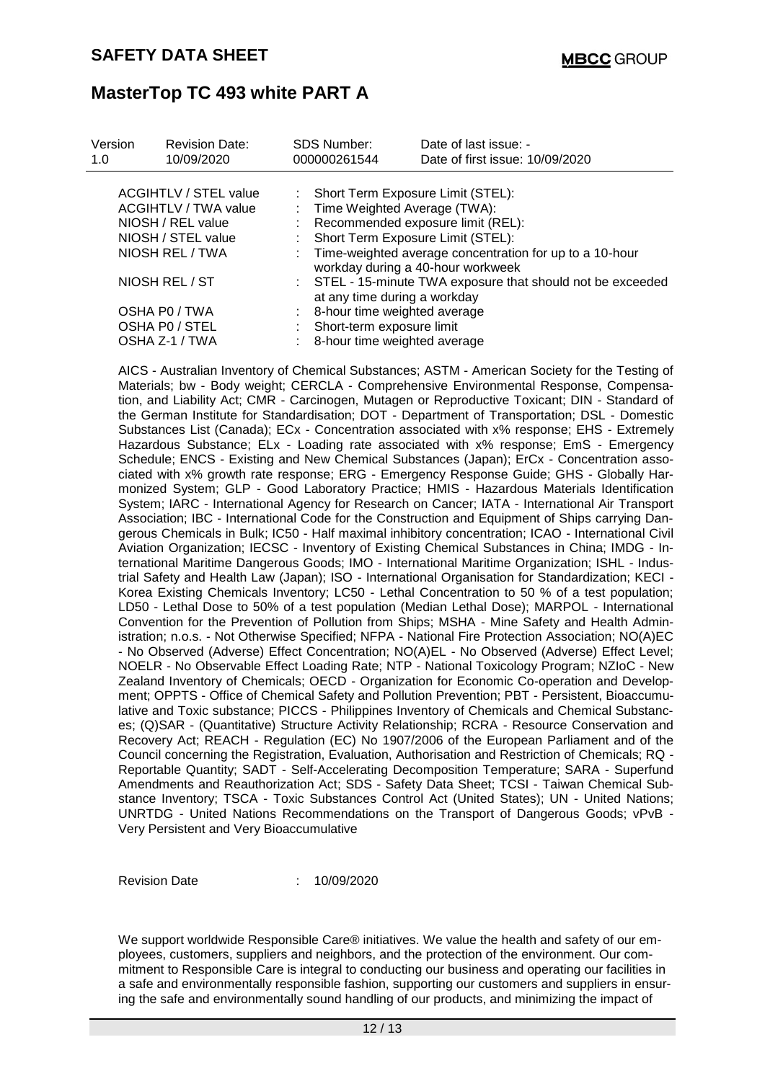| Version<br>1.0                                                            | <b>Revision Date:</b><br>10/09/2020 |  | <b>SDS Number:</b><br>000000261544                                                                               | Date of last issue: -<br>Date of first issue: 10/09/2020 |  |  |  |
|---------------------------------------------------------------------------|-------------------------------------|--|------------------------------------------------------------------------------------------------------------------|----------------------------------------------------------|--|--|--|
| <b>ACGIHTLV / STEL value</b><br>ACGIHTLV / TWA value<br>NIOSH / REL value |                                     |  | : Short Term Exposure Limit (STEL):<br>Time Weighted Average (TWA):<br>t.<br>: Recommended exposure limit (REL): |                                                          |  |  |  |
| NIOSH / STEL value                                                        |                                     |  | Short Term Exposure Limit (STEL):                                                                                |                                                          |  |  |  |
| NIOSH REL / TWA                                                           |                                     |  | : Time-weighted average concentration for up to a 10-hour<br>workday during a 40-hour workweek                   |                                                          |  |  |  |
| NIOSH REL / ST                                                            |                                     |  | : STEL - 15-minute TWA exposure that should not be exceeded<br>at any time during a workday                      |                                                          |  |  |  |
|                                                                           | OSHA P0 / TWA<br>OSHA PO / STEL     |  | : 8-hour time weighted average<br>Short-term exposure limit                                                      |                                                          |  |  |  |
| OSHA Z-1 / TWA                                                            |                                     |  | : 8-hour time weighted average                                                                                   |                                                          |  |  |  |

AICS - Australian Inventory of Chemical Substances; ASTM - American Society for the Testing of Materials; bw - Body weight; CERCLA - Comprehensive Environmental Response, Compensation, and Liability Act; CMR - Carcinogen, Mutagen or Reproductive Toxicant; DIN - Standard of the German Institute for Standardisation; DOT - Department of Transportation; DSL - Domestic Substances List (Canada); ECx - Concentration associated with x% response; EHS - Extremely Hazardous Substance; ELx - Loading rate associated with x% response; EmS - Emergency Schedule; ENCS - Existing and New Chemical Substances (Japan); ErCx - Concentration associated with x% growth rate response; ERG - Emergency Response Guide; GHS - Globally Harmonized System; GLP - Good Laboratory Practice; HMIS - Hazardous Materials Identification System; IARC - International Agency for Research on Cancer; IATA - International Air Transport Association; IBC - International Code for the Construction and Equipment of Ships carrying Dangerous Chemicals in Bulk; IC50 - Half maximal inhibitory concentration; ICAO - International Civil Aviation Organization; IECSC - Inventory of Existing Chemical Substances in China; IMDG - International Maritime Dangerous Goods; IMO - International Maritime Organization; ISHL - Industrial Safety and Health Law (Japan); ISO - International Organisation for Standardization; KECI - Korea Existing Chemicals Inventory; LC50 - Lethal Concentration to 50 % of a test population; LD50 - Lethal Dose to 50% of a test population (Median Lethal Dose); MARPOL - International Convention for the Prevention of Pollution from Ships; MSHA - Mine Safety and Health Administration; n.o.s. - Not Otherwise Specified; NFPA - National Fire Protection Association; NO(A)EC - No Observed (Adverse) Effect Concentration; NO(A)EL - No Observed (Adverse) Effect Level; NOELR - No Observable Effect Loading Rate; NTP - National Toxicology Program; NZIoC - New Zealand Inventory of Chemicals; OECD - Organization for Economic Co-operation and Development; OPPTS - Office of Chemical Safety and Pollution Prevention; PBT - Persistent, Bioaccumulative and Toxic substance; PICCS - Philippines Inventory of Chemicals and Chemical Substances; (Q)SAR - (Quantitative) Structure Activity Relationship; RCRA - Resource Conservation and Recovery Act; REACH - Regulation (EC) No 1907/2006 of the European Parliament and of the Council concerning the Registration, Evaluation, Authorisation and Restriction of Chemicals; RQ - Reportable Quantity; SADT - Self-Accelerating Decomposition Temperature; SARA - Superfund Amendments and Reauthorization Act; SDS - Safety Data Sheet; TCSI - Taiwan Chemical Substance Inventory; TSCA - Toxic Substances Control Act (United States); UN - United Nations; UNRTDG - United Nations Recommendations on the Transport of Dangerous Goods; vPvB - Very Persistent and Very Bioaccumulative

Revision Date : 10/09/2020

We support worldwide Responsible Care® initiatives. We value the health and safety of our employees, customers, suppliers and neighbors, and the protection of the environment. Our commitment to Responsible Care is integral to conducting our business and operating our facilities in a safe and environmentally responsible fashion, supporting our customers and suppliers in ensuring the safe and environmentally sound handling of our products, and minimizing the impact of